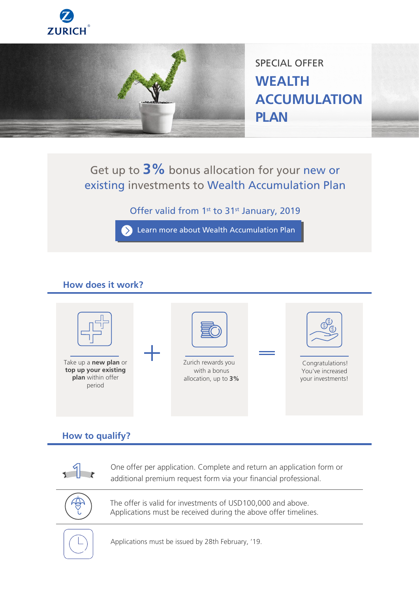



SPECIAL OFFER **WEALTH ACCUMULATION PLAN**

# Get up to **3%** bonus allocation for your new or existing investments to Wealth Accumulation Plan

## Offer valid from 1<sup>st</sup> to 31<sup>st</sup> January, 2019

**Example 2 Searn more about Wealth Accumulation Plan** 

### **How does it work?**



### **How to qualify?**



One offer per application. Complete and return an application form or additional premium request form via your financial professional.



The offer is valid for investments of USD100,000 and above. Applications must be received during the above offer timelines.



Applications must be issued by 28th February, '19.